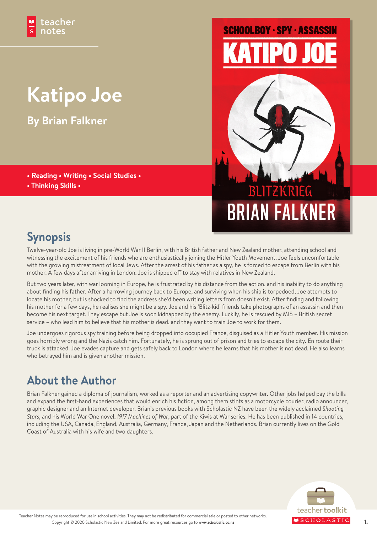## **Katipo Joe**

**By Brian Falkner**

- **Reading Writing Social Studies •**
- **Thinking Skills •**

# **SCHOOLBOY · SPY · ASSASSIN**



## **Synopsis**

Twelve-year-old Joe is living in pre-World War II Berlin, with his British father and New Zealand mother, attending school and witnessing the excitement of his friends who are enthusiastically joining the Hitler Youth Movement. Joe feels uncomfortable with the growing mistreatment of local Jews. After the arrest of his father as a spy, he is forced to escape from Berlin with his mother. A few days after arriving in London, Joe is shipped off to stay with relatives in New Zealand.

But two years later, with war looming in Europe, he is frustrated by his distance from the action, and his inability to do anything about finding his father. After a harrowing journey back to Europe, and surviving when his ship is torpedoed, Joe attempts to locate his mother, but is shocked to find the address she'd been writing letters from doesn't exist. After finding and following his mother for a few days, he realises she might be a spy. Joe and his 'Blitz-kid' friends take photographs of an assassin and then become his next target. They escape but Joe is soon kidnapped by the enemy. Luckily, he is rescued by MI5 – British secret service – who lead him to believe that his mother is dead, and they want to train Joe to work for them.

Joe undergoes rigorous spy training before being dropped into occupied France, disguised as a Hitler Youth member. His mission goes horribly wrong and the Nazis catch him. Fortunately, he is sprung out of prison and tries to escape the city. En route their truck is attacked. Joe evades capture and gets safely back to London where he learns that his mother is not dead. He also learns who betrayed him and is given another mission.

## **About the Author**

Brian Falkner gained a diploma of journalism, worked as a reporter and an advertising copywriter. Other jobs helped pay the bills and expand the first-hand experiences that would enrich his fiction, among them stints as a motorcycle courier, radio announcer, graphic designer and an Internet developer. Brian's previous books with Scholastic NZ have been the widely acclaimed *Shooting Stars*, and his World War One novel, *1917 Machines of War*, part of the Kiwis at War series. He has been published in 14 countries, including the USA, Canada, England, Australia, Germany, France, Japan and the Netherlands. Brian currently lives on the Gold Coast of Australia with his wife and two daughters.

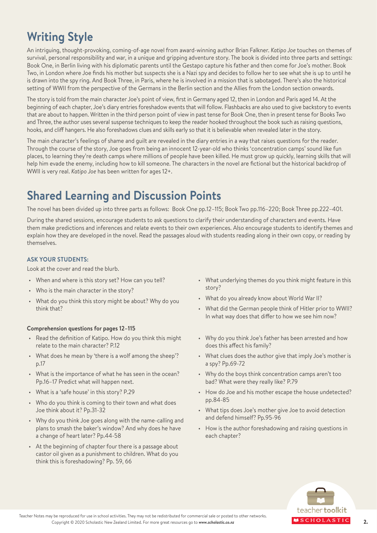## **Writing Style**

An intriguing, thought-provoking, coming-of-age novel from award-winning author Brian Falkner. *Katipo Joe* touches on themes of survival, personal responsibility and war, in a unique and gripping adventure story. The book is divided into three parts and settings: Book One, in Berlin living with his diplomatic parents until the Gestapo capture his father and then come for Joe's mother. Book Two, in London where Joe finds his mother but suspects she is a Nazi spy and decides to follow her to see what she is up to until he is drawn into the spy ring. And Book Three, in Paris, where he is involved in a mission that is sabotaged. There's also the historical setting of WWII from the perspective of the Germans in the Berlin section and the Allies from the London section onwards.

The story is told from the main character Joe's point of view, first in Germany aged 12, then in London and Paris aged 14. At the beginning of each chapter, Joe's diary entries foreshadow events that will follow. Flashbacks are also used to give backstory to events that are about to happen. Written in the third person point of view in past tense for Book One, then in present tense for Books Two and Three, the author uses several suspense techniques to keep the reader hooked throughout the book such as raising questions, hooks, and cliff hangers. He also foreshadows clues and skills early so that it is believable when revealed later in the story.

The main character's feelings of shame and guilt are revealed in the diary entries in a way that raises questions for the reader. Through the course of the story, Joe goes from being an innocent 12-year-old who thinks 'concentration camps' sound like fun places, to learning they're death camps where millions of people have been killed. He must grow up quickly, learning skills that will help him evade the enemy, including how to kill someone. The characters in the novel are fictional but the historical backdrop of WWII is very real. *Katipo Joe* has been written for ages 12+.

## **Shared Learning and Discussion Points**

The novel has been divided up into three parts as follows: Book One pp.12–115; Book Two pp.116–220; Book Three pp.222–401.

During the shared sessions, encourage students to ask questions to clarify their understanding of characters and events. Have them make predictions and inferences and relate events to their own experiences. Also encourage students to identify themes and explain how they are developed in the novel. Read the passages aloud with students reading along in their own copy, or reading by themselves.

#### **ASK YOUR STUDENTS:**

Look at the cover and read the blurb.

- When and where is this story set? How can you tell?
- Who is the main character in the story?
- What do you think this story might be about? Why do you think that?

#### **Comprehension questions for pages 12–115**

- Read the definition of Katipo. How do you think this might relate to the main character? P.12
- What does he mean by 'there is a wolf among the sheep'? p.17
- What is the importance of what he has seen in the ocean? Pp.16–17 Predict what will happen next.
- What is a 'safe house' in this story? P.29
- Who do you think is coming to their town and what does Joe think about it? Pp.31-32
- Why do you think Joe goes along with the name-calling and plans to smash the baker's window? And why does he have a change of heart later? Pp.44-58
- At the beginning of chapter four there is a passage about castor oil given as a punishment to children. What do you think this is foreshadowing? Pp. 59, 66
- What underlying themes do you think might feature in this story?
- What do you already know about World War II?
- What did the German people think of Hitler prior to WWII? In what way does that differ to how we see him now?
- Why do you think Joe's father has been arrested and how does this affect his family?
- What clues does the author give that imply Joe's mother is a spy? Pp.69-72
- Why do the boys think concentration camps aren't too bad? What were they really like? P.79
- How do Joe and his mother escape the house undetected? pp.84-85
- What tips does Joe's mother give Joe to avoid detection and defend himself? Pp.95-96
- How is the author foreshadowing and raising questions in each chapter?

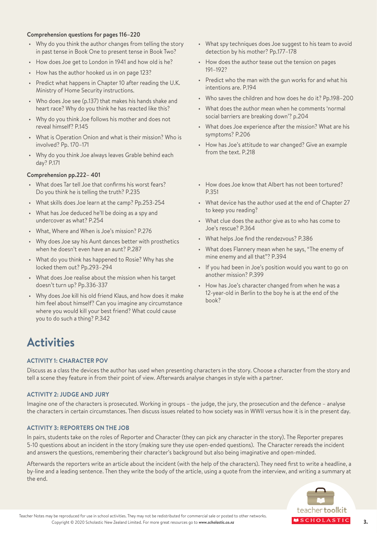#### **Comprehension questions for pages 116–220**

- Why do you think the author changes from telling the story in past tense in Book One to present tense in Book Two?
- How does Joe get to London in 1941 and how old is he?
- How has the author hooked us in on page 123?
- Predict what happens in Chapter 10 after reading the U.K. Ministry of Home Security instructions.
- Who does Joe see (p.137) that makes his hands shake and heart race? Why do you think he has reacted like this?
- Why do you think Joe follows his mother and does not reveal himself? P.145
- What is Operation Onion and what is their mission? Who is involved? Pp. 170–171
- Why do you think Joe always leaves Grable behind each day? P.171

#### **Comprehension pp.222– 401**

- What does Tar tell Joe that confirms his worst fears? Do you think he is telling the truth? P.235
- What skills does Joe learn at the camp? Pp.253-254
- What has Joe deduced he'll be doing as a spy and undercover as what? P.254
- What, Where and When is Joe's mission? P.276
- Why does Joe say his Aunt dances better with prosthetics when he doesn't even have an aunt? P.287
- What do you think has happened to Rosie? Why has she locked them out? Pp.293–294
- What does Joe realise about the mission when his target doesn't turn up? Pp.336-337
- Why does Joe kill his old friend Klaus, and how does it make him feel about himself? Can you imagine any circumstance where you would kill your best friend? What could cause you to do such a thing? P.342
- What spy techniques does Joe suggest to his team to avoid detection by his mother? Pp.177–178
- How does the author tease out the tension on pages 191–192?
- Predict who the man with the gun works for and what his intentions are. P.194
- Who saves the children and how does he do it? Pp.198–200
- What does the author mean when he comments 'normal social barriers are breaking down'? p.204
- What does Joe experience after the mission? What are his symptoms? P.206
- How has Joe's attitude to war changed? Give an example from the text. P.218
- How does Joe know that Albert has not been tortured? P.351
- What device has the author used at the end of Chapter 27 to keep you reading?
- What clue does the author give as to who has come to Joe's rescue? P.364
- What helps Joe find the rendezvous? P.386
- What does Flannery mean when he says, "The enemy of mine enemy and all that"? P.394
- If you had been in Joe's position would you want to go on another mission? P.399
- How has Joe's character changed from when he was a 12-year-old in Berlin to the boy he is at the end of the book?

### **Activities**

#### **ACTIVITY 1: CHARACTER POV**

Discuss as a class the devices the author has used when presenting characters in the story. Choose a character from the story and tell a scene they feature in from their point of view. Afterwards analyse changes in style with a partner.

#### **ACTIVITY 2: JUDGE AND JURY**

Imagine one of the characters is prosecuted. Working in groups – the judge, the jury, the prosecution and the defence – analyse the characters in certain circumstances. Then discuss issues related to how society was in WWII versus how it is in the present day.

#### **ACTIVITY 3: REPORTERS ON THE JOB**

In pairs, students take on the roles of Reporter and Character (they can pick any character in the story). The Reporter prepares 5-10 questions about an incident in the story (making sure they use open-ended questions). The Character rereads the incident and answers the questions, remembering their character's background but also being imaginative and open-minded.

Afterwards the reporters write an article about the incident (with the help of the characters). They need first to write a headline, a by-line and a leading sentence. Then they write the body of the article, using a quote from the interview, and writing a summary at the end.